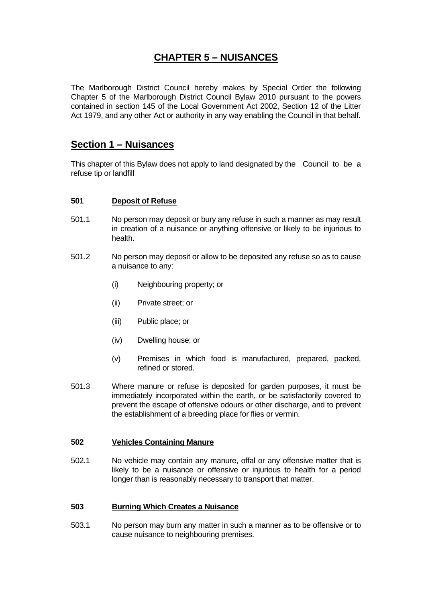# **CHAPTER 5 – NUISANCES**

The Marlborough District Council hereby makes by Special Order the following Chapter 5 of the Marlborough District Council Bylaw 2010 pursuant to the powers contained in section 145 of the Local Government Act 2002, Section 12 of the Litter Act 1979, and any other Act or authority in any way enabling the Council in that behalf.

# **Section 1 – Nuisances**

This chapter of this Bylaw does not apply to land designated by the Council to be a refuse tip or landfill

## **501 Deposit of Refuse**

- 501.1 No person may deposit or bury any refuse in such a manner as may result in creation of a nuisance or anything offensive or likely to be injurious to health.
- 501.2 No person may deposit or allow to be deposited any refuse so as to cause a nuisance to any:
	- (i) Neighbouring property; or
	- (ii) Private street; or
	- (iii) Public place; or
	- (iv) Dwelling house; or
	- (v) Premises in which food is manufactured, prepared, packed, refined or stored.
- 501.3 Where manure or refuse is deposited for garden purposes, it must be immediately incorporated within the earth, or be satisfactorily covered to prevent the escape of offensive odours or other discharge, and to prevent the establishment of a breeding place for flies or vermin.

## **502 Vehicles Containing Manure**

502.1 No vehicle may contain any manure, offal or any offensive matter that is likely to be a nuisance or offensive or injurious to health for a period longer than is reasonably necessary to transport that matter.

## **503 Burning Which Creates a Nuisance**

503.1 No person may burn any matter in such a manner as to be offensive or to cause nuisance to neighbouring premises.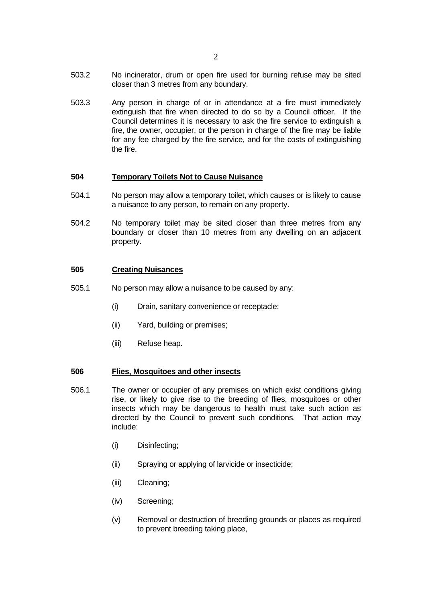503.3 Any person in charge of or in attendance at a fire must immediately extinguish that fire when directed to do so by a Council officer. If the Council determines it is necessary to ask the fire service to extinguish a fire, the owner, occupier, or the person in charge of the fire may be liable for any fee charged by the fire service, and for the costs of extinguishing the fire.

### **504 Temporary Toilets Not to Cause Nuisance**

- 504.1 No person may allow a temporary toilet, which causes or is likely to cause a nuisance to any person, to remain on any property.
- 504.2 No temporary toilet may be sited closer than three metres from any boundary or closer than 10 metres from any dwelling on an adjacent property.

## **505 Creating Nuisances**

- 505.1 No person may allow a nuisance to be caused by any:
	- (i) Drain, sanitary convenience or receptacle;
	- (ii) Yard, building or premises;
	- (iii) Refuse heap.

### **506 Flies, Mosquitoes and other insects**

- 506.1 The owner or occupier of any premises on which exist conditions giving rise, or likely to give rise to the breeding of flies, mosquitoes or other insects which may be dangerous to health must take such action as directed by the Council to prevent such conditions. That action may include:
	- (i) Disinfecting;
	- (ii) Spraying or applying of larvicide or insecticide;
	- (iii) Cleaning;
	- (iv) Screening;
	- (v) Removal or destruction of breeding grounds or places as required to prevent breeding taking place,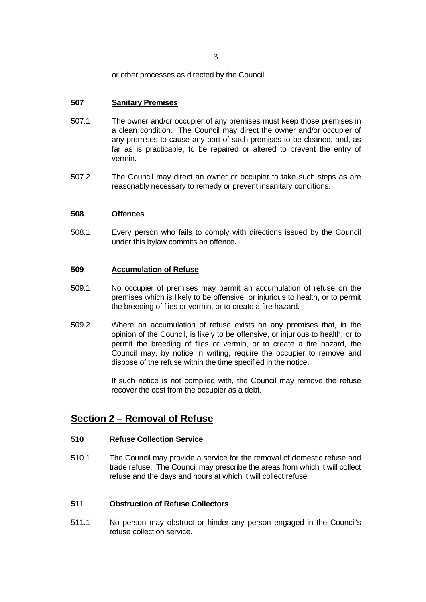or other processes as directed by the Council.

## **507 Sanitary Premises**

- 507.1 The owner and/or occupier of any premises must keep those premises in a clean condition. The Council may direct the owner and/or occupier of any premises to cause any part of such premises to be cleaned, and, as far as is practicable, to be repaired or altered to prevent the entry of vermin.
- 507.2 The Council may direct an owner or occupier to take such steps as are reasonably necessary to remedy or prevent insanitary conditions.

#### **508 Offences**

508.1 Every person who fails to comply with directions issued by the Council under this bylaw commits an offence**.** 

## **509 Accumulation of Refuse**

- 509.1 No occupier of premises may permit an accumulation of refuse on the premises which is likely to be offensive, or injurious to health, or to permit the breeding of flies or vermin, or to create a fire hazard.
- 509.2 Where an accumulation of refuse exists on any premises that, in the opinion of the Council, is likely to be offensive, or injurious to health, or to permit the breeding of flies or vermin, or to create a fire hazard, the Council may, by notice in writing, require the occupier to remove and dispose of the refuse within the time specified in the notice.

If such notice is not complied with, the Council may remove the refuse recover the cost from the occupier as a debt.

## **Section 2 – Removal of Refuse**

#### **510 Refuse Collection Service**

510.1 The Council may provide a service for the removal of domestic refuse and trade refuse. The Council may prescribe the areas from which it will collect refuse and the days and hours at which it will collect refuse.

## **511 Obstruction of Refuse Collectors**

511.1 No person may obstruct or hinder any person engaged in the Council's refuse collection service.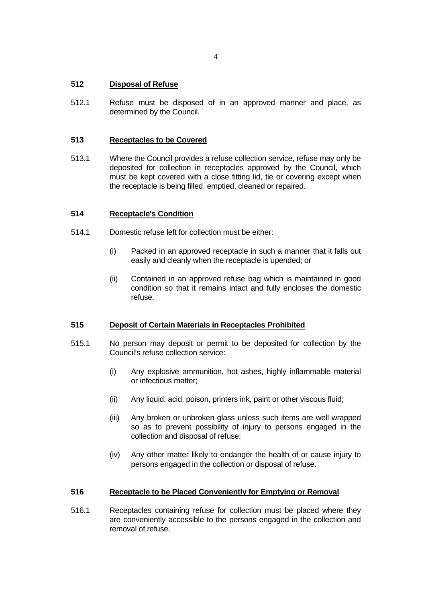## **512 Disposal of Refuse**

512.1 Refuse must be disposed of in an approved manner and place, as determined by the Council.

## **513 Receptacles to be Covered**

513.1 Where the Council provides a refuse collection service, refuse may only be deposited for collection in receptacles approved by the Council, which must be kept covered with a close fitting lid, tie or covering except when the receptacle is being filled, emptied, cleaned or repaired.

### **514 Receptacle's Condition**

- 514.1 Domestic refuse left for collection must be either:
	- (i) Packed in an approved receptacle in such a manner that it falls out easily and cleanly when the receptacle is upended; or
	- (ii) Contained in an approved refuse bag which is maintained in good condition so that it remains intact and fully encloses the domestic refuse.

## **515 Deposit of Certain Materials in Receptacles Prohibited**

- 515.1 No person may deposit or permit to be deposited for collection by the Council's refuse collection service:
	- (i) Any explosive ammunition, hot ashes, highly inflammable material or infectious matter;
	- (ii) Any liquid, acid, poison, printers ink, paint or other viscous fluid;
	- (iii) Any broken or unbroken glass unless such items are well wrapped so as to prevent possibility of injury to persons engaged in the collection and disposal of refuse;
	- (iv) Any other matter likely to endanger the health of or cause injury to persons engaged in the collection or disposal of refuse.

### **516 Receptacle to be Placed Conveniently for Emptying or Removal**

516.1 Receptacles containing refuse for collection must be placed where they are conveniently accessible to the persons engaged in the collection and removal of refuse.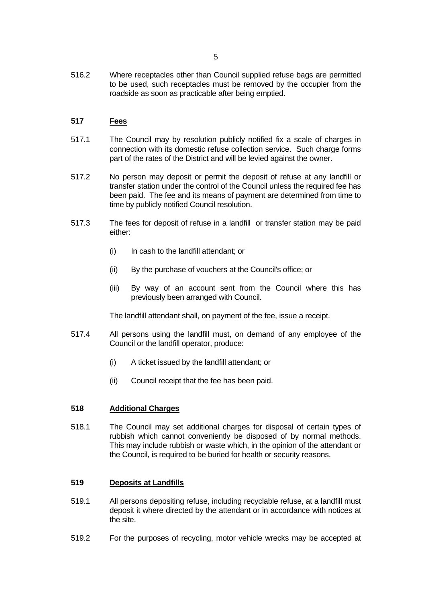516.2 Where receptacles other than Council supplied refuse bags are permitted to be used, such receptacles must be removed by the occupier from the roadside as soon as practicable after being emptied.

## **517 Fees**

- 517.1 The Council may by resolution publicly notified fix a scale of charges in connection with its domestic refuse collection service. Such charge forms part of the rates of the District and will be levied against the owner.
- 517.2 No person may deposit or permit the deposit of refuse at any landfill or transfer station under the control of the Council unless the required fee has been paid. The fee and its means of payment are determined from time to time by publicly notified Council resolution.
- 517.3 The fees for deposit of refuse in a landfill or transfer station may be paid either:
	- (i) In cash to the landfill attendant; or
	- (ii) By the purchase of vouchers at the Council's office; or
	- (iii) By way of an account sent from the Council where this has previously been arranged with Council.

The landfill attendant shall, on payment of the fee, issue a receipt.

- 517.4 All persons using the landfill must, on demand of any employee of the Council or the landfill operator, produce:
	- (i) A ticket issued by the landfill attendant; or
	- (ii) Council receipt that the fee has been paid.

### **518 Additional Charges**

518.1 The Council may set additional charges for disposal of certain types of rubbish which cannot conveniently be disposed of by normal methods. This may include rubbish or waste which, in the opinion of the attendant or the Council, is required to be buried for health or security reasons.

## **519 Deposits at Landfills**

- 519.1 All persons depositing refuse, including recyclable refuse, at a landfill must deposit it where directed by the attendant or in accordance with notices at the site.
- 519.2 For the purposes of recycling, motor vehicle wrecks may be accepted at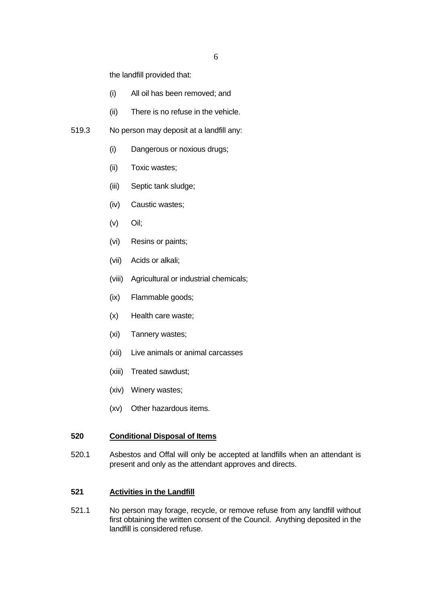the landfill provided that:

- (i) All oil has been removed; and
- (ii) There is no refuse in the vehicle.
- 519.3 No person may deposit at a landfill any:
	- (i) Dangerous or noxious drugs;
	- (ii) Toxic wastes;
	- (iii) Septic tank sludge;
	- (iv) Caustic wastes;
	- (v) Oil;
	- (vi) Resins or paints;
	- (vii) Acids or alkali;
	- (viii) Agricultural or industrial chemicals;
	- (ix) Flammable goods;
	- (x) Health care waste;
	- (xi) Tannery wastes;
	- (xii) Live animals or animal carcasses
	- (xiii) Treated sawdust;
	- (xiv) Winery wastes;
	- (xv) Other hazardous items.

## **520 Conditional Disposal of Items**

520.1 Asbestos and Offal will only be accepted at landfills when an attendant is present and only as the attendant approves and directs.

### **521 Activities in the Landfill**

521.1 No person may forage, recycle, or remove refuse from any landfill without first obtaining the written consent of the Council. Anything deposited in the landfill is considered refuse.